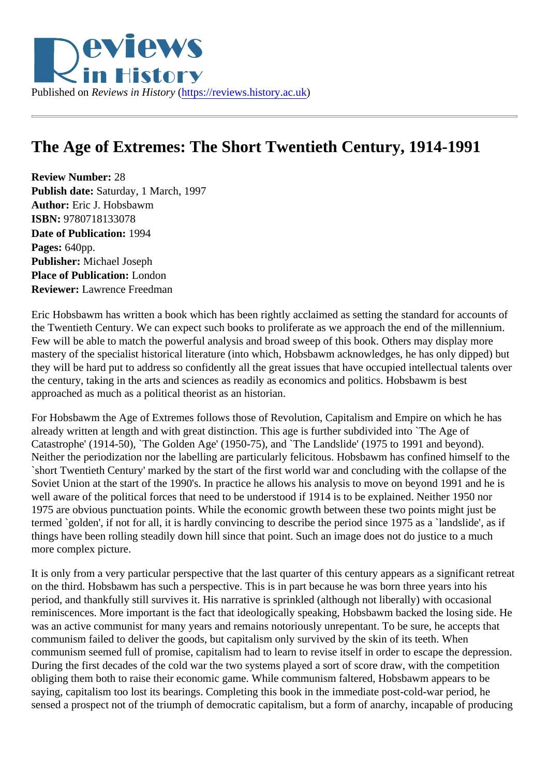## The Age of Extremes: The Short Twentieth Century, 1914-1991

Review Number: 28 Publish date: Saturday, 1 March, 1997 Author: Eric J. Hobsbawm ISBN: 9780718133078 Date of Publication: 1994 Pages: 640pp. Publisher: Michael Joseph Place of Publication: London Reviewer: Lawrence Freedman

Eric Hobsbawm has written a book which has been rightly acclaimed as setting the standard for accounts the Twentieth Century. We can expect such books to proliferate as we approach the end of the millennium Few will be able to match the powerful analysis and broad sweep of this book. Others may display more mastery of the specialist historical literature (into which, Hobsbawm acknowledges, he has only dipped) but they will be hard put to address so confidently all the great issues that have occupied intellectual talents of the century, taking in the arts and sciences as readily as economics and politics. Hobsbawm is best approached as much as a political theorist as an historian.

For Hobsbawm the Age of Extremes follows those of Revolution, Capitalism and Empire on which he has already written at length and with great distinction. This age is further subdivided into `The Age of Catastrophe' (1914-50), `The Golden Age' (1950-75), and `The Landslide' (1975 to 1991 and beyond). Neither the periodization nor the labelling are particularly felicitous. Hobsbawm has confined himself to the `short Twentieth Century' marked by the start of the first world war and concluding with the collapse of the Soviet Union at the start of the 1990's. In practice he allows his analysis to move on beyond 1991 and he is well aware of the political forces that need to be understood if 1914 is to be explained. Neither 1950 nor 1975 are obvious punctuation points. While the economic growth between these two points might just be termed `golden', if not for all, it is hardly convincing to describe the period since 1975 as a `landslide', as if things have been rolling steadily down hill since that point. Such an image does not do justice to a much more complex picture.

It is only from a very particular perspective that the last quarter of this century appears as a significant retr on the third. Hobsbawm has such a perspective. This is in part because he was born three years into his period, and thankfully still survives it. His narrative is sprinkled (although not liberally) with occasional reminiscences. More important is the fact that ideologically speaking, Hobsbawm backed the losing side. Here was an active communist for many years and remains notoriously unrepentant. To be sure, he accepts that communism failed to deliver the goods, but capitalism only survived by the skin of its teeth. When communism seemed full of promise, capitalism had to learn to revise itself in order to escape the depression. During the first decades of the cold war the two systems played a sort of score draw, with the competition obliging them both to raise their economic game. While communism faltered, Hobsbawm appears to be saying, capitalism too lost its bearings. Completing this book in the immediate post-cold-war period, he sensed a prospect not of the triumph of democratic capitalism, but a form of anarchy, incapable of producing senses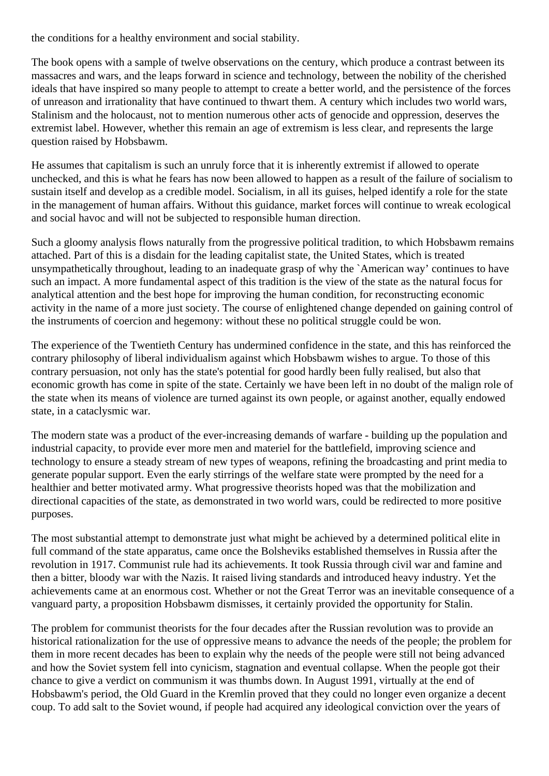the conditions for a healthy environment and social stability.

The book opens with a sample of twelve observations on the century, which produce a contrast between its massacres and wars, and the leaps forward in science and technology, between the nobility of the cherished ideals that have inspired so many people to attempt to create a better world, and the persistence of the forces of unreason and irrationality that have continued to thwart them. A century which includes two world wars, Stalinism and the holocaust, not to mention numerous other acts of genocide and oppression, deserves the extremist label. However, whether this remain an age of extremism is less clear, and represents the large question raised by Hobsbawm.

He assumes that capitalism is such an unruly force that it is inherently extremist if allowed to operate unchecked, and this is what he fears has now been allowed to happen as a result of the failure of socialism to sustain itself and develop as a credible model. Socialism, in all its guises, helped identify a role for the state in the management of human affairs. Without this guidance, market forces will continue to wreak ecological and social havoc and will not be subjected to responsible human direction.

Such a gloomy analysis flows naturally from the progressive political tradition, to which Hobsbawm remains attached. Part of this is a disdain for the leading capitalist state, the United States, which is treated unsympathetically throughout, leading to an inadequate grasp of why the `American way' continues to have such an impact. A more fundamental aspect of this tradition is the view of the state as the natural focus for analytical attention and the best hope for improving the human condition, for reconstructing economic activity in the name of a more just society. The course of enlightened change depended on gaining control of the instruments of coercion and hegemony: without these no political struggle could be won.

The experience of the Twentieth Century has undermined confidence in the state, and this has reinforced the contrary philosophy of liberal individualism against which Hobsbawm wishes to argue. To those of this contrary persuasion, not only has the state's potential for good hardly been fully realised, but also that economic growth has come in spite of the state. Certainly we have been left in no doubt of the malign role of the state when its means of violence are turned against its own people, or against another, equally endowed state, in a cataclysmic war.

The modern state was a product of the ever-increasing demands of warfare - building up the population and industrial capacity, to provide ever more men and materiel for the battlefield, improving science and technology to ensure a steady stream of new types of weapons, refining the broadcasting and print media to generate popular support. Even the early stirrings of the welfare state were prompted by the need for a healthier and better motivated army. What progressive theorists hoped was that the mobilization and directional capacities of the state, as demonstrated in two world wars, could be redirected to more positive purposes.

The most substantial attempt to demonstrate just what might be achieved by a determined political elite in full command of the state apparatus, came once the Bolsheviks established themselves in Russia after the revolution in 1917. Communist rule had its achievements. It took Russia through civil war and famine and then a bitter, bloody war with the Nazis. It raised living standards and introduced heavy industry. Yet the achievements came at an enormous cost. Whether or not the Great Terror was an inevitable consequence of a vanguard party, a proposition Hobsbawm dismisses, it certainly provided the opportunity for Stalin.

The problem for communist theorists for the four decades after the Russian revolution was to provide an historical rationalization for the use of oppressive means to advance the needs of the people; the problem for them in more recent decades has been to explain why the needs of the people were still not being advanced and how the Soviet system fell into cynicism, stagnation and eventual collapse. When the people got their chance to give a verdict on communism it was thumbs down. In August 1991, virtually at the end of Hobsbawm's period, the Old Guard in the Kremlin proved that they could no longer even organize a decent coup. To add salt to the Soviet wound, if people had acquired any ideological conviction over the years of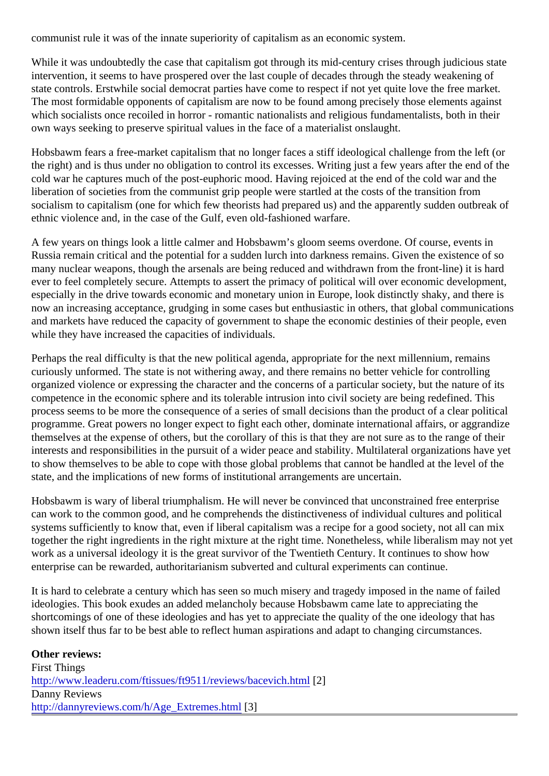communist rule it was of the innate superiority of capitalism as an economic system.

While it was undoubtedly the case that capitalism got through its mid-century crises through judicious state intervention, it seems to have prospered over the last couple of decades through the steady weakening of state controls. Erstwhile social democrat parties have come to respect if not yet quite love the free market. The most formidable opponents of capitalism are now to be found among precisely those elements agains which socialists once recoiled in horror - romantic nationalists and religious fundamentalists, both in their own ways seeking to preserve spiritual values in the face of a materialist onslaught.

Hobsbawm fears a free-market capitalism that no longer faces a stiff ideological challenge from the left (or the right) and is thus under no obligation to control its excesses. Writing just a few years after the end of th cold war he captures much of the post-euphoric mood. Having rejoiced at the end of the cold war and the liberation of societies from the communist grip people were startled at the costs of the transition from socialism to capitalism (one for which few theorists had prepared us) and the apparently sudden outbreak ethnic violence and, in the case of the Gulf, even old-fashioned warfare.

A few years on things look a little calmer and Hobsbawm's gloom seems overdone. Of course, events in Russia remain critical and the potential for a sudden lurch into darkness remains. Given the existence of s many nuclear weapons, though the arsenals are being reduced and withdrawn from the front-line) it is hard ever to feel completely secure. Attempts to assert the primacy of political will over economic development, especially in the drive towards economic and monetary union in Europe, look distinctly shaky, and there is now an increasing acceptance, grudging in some cases but enthusiastic in others, that global communications and markets have reduced the capacity of government to shape the economic destinies of their people, even while they have increased the capacities of individuals.

Perhaps the real difficulty is that the new political agenda, appropriate for the next millennium, remains curiously unformed. The state is not withering away, and there remains no better vehicle for controlling organized violence or expressing the character and the concerns of a particular society, but the nature of its competence in the economic sphere and its tolerable intrusion into civil society are being redefined. This process seems to be more the consequence of a series of small decisions than the product of a clear polit programme. Great powers no longer expect to fight each other, dominate international affairs, or aggrandi themselves at the expense of others, but the corollary of this is that they are not sure as to the range of the interests and responsibilities in the pursuit of a wider peace and stability. Multilateral organizations have ye to show themselves to be able to cope with those global problems that cannot be handled at the level of the state, and the implications of new forms of institutional arrangements are uncertain.

Hobsbawm is wary of liberal triumphalism. He will never be convinced that unconstrained free enterprise can work to the common good, and he comprehends the distinctiveness of individual cultures and political systems sufficiently to know that, even if liberal capitalism was a recipe for a good society, not all can mix together the right ingredients in the right mixture at the right time. Nonetheless, while liberalism may not ye work as a universal ideology it is the great survivor of the Twentieth Century. It continues to show how enterprise can be rewarded, authoritarianism subverted and cultural experiments can continue.

It is hard to celebrate a century which has seen so much misery and tragedy imposed in the name of failed ideologies. This book exudes an added melancholy because Hobsbawm came late to appreciating the shortcomings of one of these ideologies and has yet to appreciate the quality of the one ideology that has shown itself thus far to be best able to reflect human aspirations and adapt to changing circumstances.

Other reviews: First Things [http://www.leaderu.com/ftissues/ft9511/reviews/bacevich.](http://www.leaderu.com/ftissues/ft9511/reviews/bacevich.html)html Danny Reviews [http://dannyreviews.com/h/Age\\_Extremes.h](http://dannyreviews.com/h/Age_Extremes.html)tml